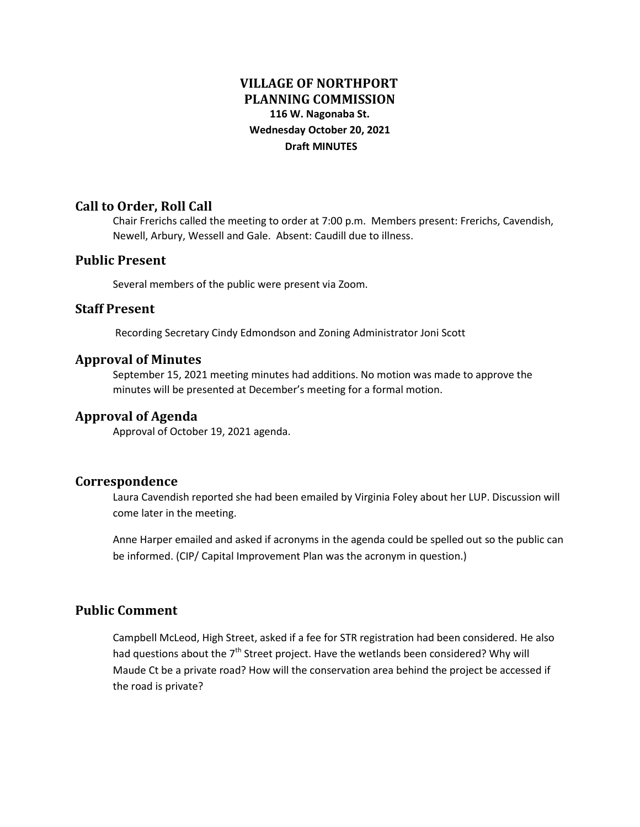# **VILLAGE OF NORTHPORT PLANNING COMMISSION 116 W. Nagonaba St. Wednesday October 20, 2021 Draft MINUTES**

### **Call to Order, Roll Call**

Chair Frerichs called the meeting to order at 7:00 p.m. Members present: Frerichs, Cavendish, Newell, Arbury, Wessell and Gale. Absent: Caudill due to illness.

### **Public Present**

Several members of the public were present via Zoom.

### **Staff Present**

Recording Secretary Cindy Edmondson and Zoning Administrator Joni Scott

### **Approval of Minutes**

September 15, 2021 meeting minutes had additions. No motion was made to approve the minutes will be presented at December's meeting for a formal motion.

### **Approval of Agenda**

Approval of October 19, 2021 agenda.

#### **Correspondence**

Laura Cavendish reported she had been emailed by Virginia Foley about her LUP. Discussion will come later in the meeting.

Anne Harper emailed and asked if acronyms in the agenda could be spelled out so the public can be informed. (CIP/ Capital Improvement Plan was the acronym in question.)

## **Public Comment**

Campbell McLeod, High Street, asked if a fee for STR registration had been considered. He also had questions about the  $7<sup>th</sup>$  Street project. Have the wetlands been considered? Why will Maude Ct be a private road? How will the conservation area behind the project be accessed if the road is private?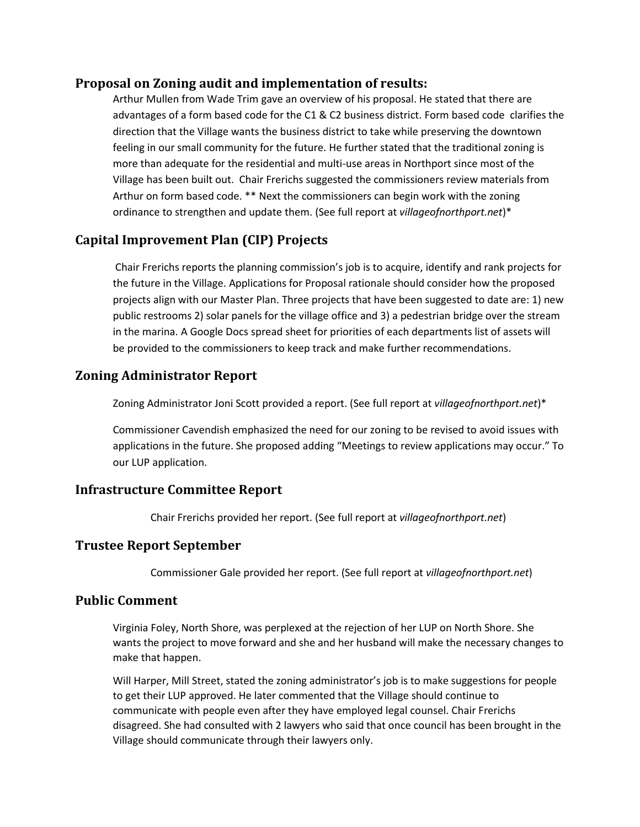### **Proposal on Zoning audit and implementation of results:**

Arthur Mullen from Wade Trim gave an overview of his proposal. He stated that there are advantages of a form based code for the C1 & C2 business district. Form based code clarifies the direction that the Village wants the business district to take while preserving the downtown feeling in our small community for the future. He further stated that the traditional zoning is more than adequate for the residential and multi-use areas in Northport since most of the Village has been built out. Chair Frerichs suggested the commissioners review materials from Arthur on form based code. \*\* Next the commissioners can begin work with the zoning ordinance to strengthen and update them. (See full report at *villageofnorthport.net*)\*

# **Capital Improvement Plan (CIP) Projects**

Chair Frerichs reports the planning commission's job is to acquire, identify and rank projects for the future in the Village. Applications for Proposal rationale should consider how the proposed projects align with our Master Plan. Three projects that have been suggested to date are: 1) new public restrooms 2) solar panels for the village office and 3) a pedestrian bridge over the stream in the marina. A Google Docs spread sheet for priorities of each departments list of assets will be provided to the commissioners to keep track and make further recommendations.

## **Zoning Administrator Report**

Zoning Administrator Joni Scott provided a report. (See full report at *villageofnorthport.net*)\*

Commissioner Cavendish emphasized the need for our zoning to be revised to avoid issues with applications in the future. She proposed adding "Meetings to review applications may occur." To our LUP application.

## **Infrastructure Committee Report**

Chair Frerichs provided her report. (See full report at *villageofnorthport.net*)

## **Trustee Report September**

Commissioner Gale provided her report. (See full report at *villageofnorthport.net*)

## **Public Comment**

Virginia Foley, North Shore, was perplexed at the rejection of her LUP on North Shore. She wants the project to move forward and she and her husband will make the necessary changes to make that happen.

Will Harper, Mill Street, stated the zoning administrator's job is to make suggestions for people to get their LUP approved. He later commented that the Village should continue to communicate with people even after they have employed legal counsel. Chair Frerichs disagreed. She had consulted with 2 lawyers who said that once council has been brought in the Village should communicate through their lawyers only.